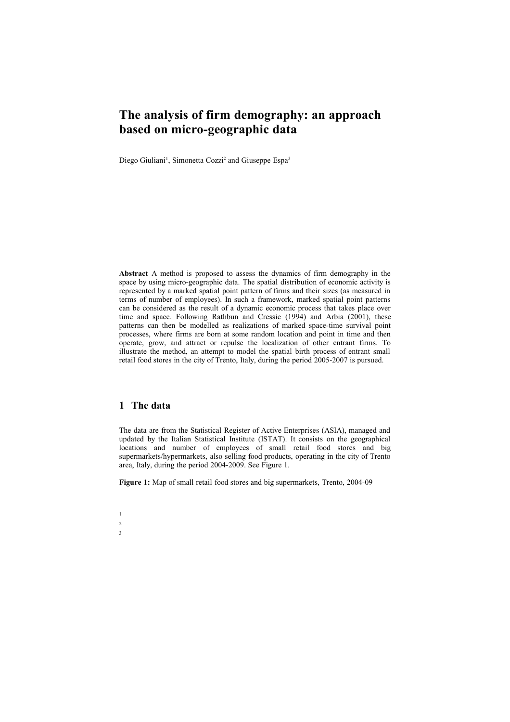# **The analysis of firm demography: an approach based on micro-geographic data**

Diego Giuliani<sup>[1](#page-0-0)</sup>, Simonetta Cozzi<sup>[2](#page-0-1)</sup> and Giuseppe Espa<sup>[3](#page-0-2)</sup>

**Abstract** A method is proposed to assess the dynamics of firm demography in the space by using micro-geographic data. The spatial distribution of economic activity is represented by a marked spatial point pattern of firms and their sizes (as measured in terms of number of employees). In such a framework, marked spatial point patterns can be considered as the result of a dynamic economic process that takes place over time and space. Following Rathbun and Cressie (1994) and Arbia (2001), these patterns can then be modelled as realizations of marked space-time survival point processes, where firms are born at some random location and point in time and then operate, grow, and attract or repulse the localization of other entrant firms. To illustrate the method, an attempt to model the spatial birth process of entrant small retail food stores in the city of Trento, Italy, during the period 2005-2007 is pursued.

# **1 The data**

The data are from the Statistical Register of Active Enterprises (ASIA), managed and updated by the Italian Statistical Institute (ISTAT). It consists on the geographical locations and number of employees of small retail food stores and big supermarkets/hypermarkets, also selling food products, operating in the city of Trento area, Italy, during the period 2004-2009. See Figure 1.

**Figure 1:** Map of small retail food stores and big supermarkets, Trento, 2004-09

<span id="page-0-0"></span> $\overline{1}$  $\overline{2}$ 

<span id="page-0-2"></span><span id="page-0-1"></span>3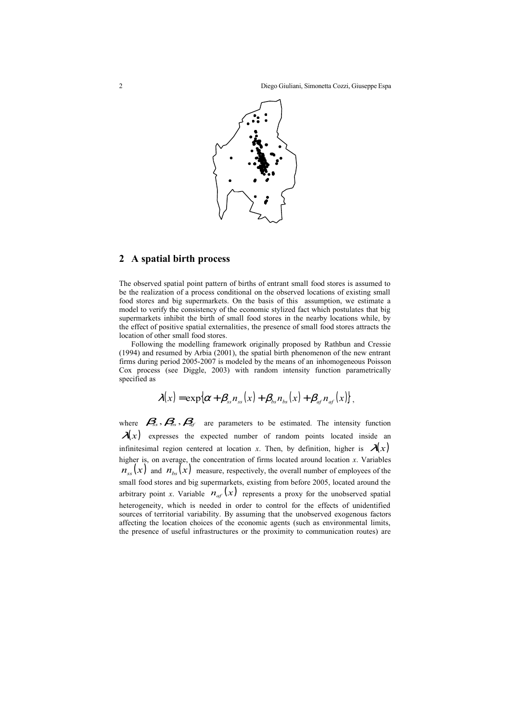

#### **2 A spatial birth process**

The observed spatial point pattern of births of entrant small food stores is assumed to be the realization of a process conditional on the observed locations of existing small food stores and big supermarkets. On the basis of this assumption, we estimate a model to verify the consistency of the economic stylized fact which postulates that big supermarkets inhibit the birth of small food stores in the nearby locations while, by the effect of positive spatial externalities, the presence of small food stores attracts the location of other small food stores.

Following the modelling framework originally proposed by Rathbun and Cressie (1994) and resumed by Arbia (2001), the spatial birth phenomenon of the new entrant firms during period 2005-2007 is modeled by the means of an inhomogeneous Poisson Cox process (see Diggle, 2003) with random intensity function parametrically specified as

$$
\lambda(x) = \exp\{\alpha + \beta_{ss}n_{ss}(x) + \beta_{bs}n_{bs}(x) + \beta_{at}n_{af}(x)\},\
$$

where  $\mathcal{B}_s$ ,  $\mathcal{B}_s$ ,  $\mathcal{B}_d$  are parameters to be estimated. The intensity function  $\lambda(x)$  expresses the expected number of random points located inside an infinitesimal region centered at location *x*. Then, by definition, higher is  $\mathcal{A}(x)$ higher is, on average, the concentration of firms located around location *x*. Variables  $n_{\rm ss}(x)$  and  $n_{\rm bs}(x)$  measure, respectively, the overall number of employees of the small food stores and big supermarkets, existing from before 2005, located around the arbitrary point *x*. Variable  $n_{\text{af}}(x)$  represents a proxy for the unobserved spatial heterogeneity, which is needed in order to control for the effects of unidentified sources of territorial variability. By assuming that the unobserved exogenous factors affecting the location choices of the economic agents (such as environmental limits, the presence of useful infrastructures or the proximity to communication routes) are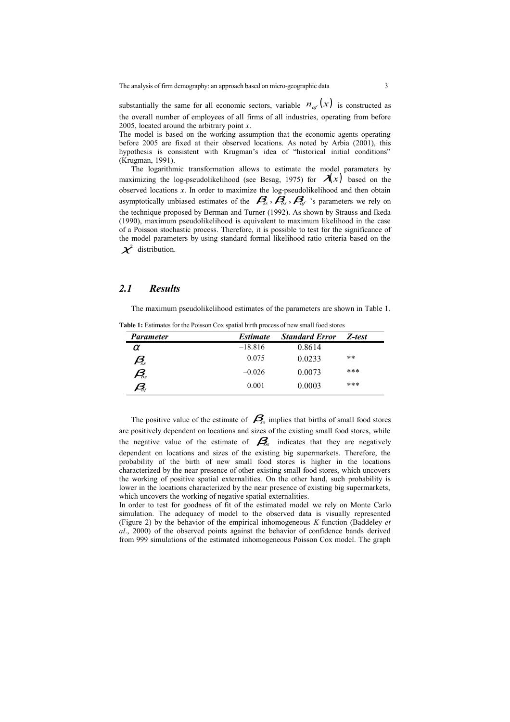substantially the same for all economic sectors, variable  $n_{\alpha} (x)$  is constructed as the overall number of employees of all firms of all industries, operating from before 2005, located around the arbitrary point *x*.

The model is based on the working assumption that the economic agents operating before 2005 are fixed at their observed locations. As noted by Arbia (2001), this hypothesis is consistent with Krugman's idea of "historical initial conditions" (Krugman, 1991).

The logarithmic transformation allows to estimate the model parameters by maximizing the log-pseudolikelihood (see Besag, 1975) for  $\mathcal{A}(x)$  based on the observed locations *x*. In order to maximize the log-pseudolikelihood and then obtain asymptotically unbiased estimates of the  $\mathcal{B}_{ss}$ ,  $\mathcal{B}_{ds}$ ,  $\mathcal{B}_{af}$  's parameters we rely on the technique proposed by Berman and Turner (1992). As shown by Strauss and Ikeda (1990), maximum pseudolikelihood is equivalent to maximum likelihood in the case of a Poisson stochastic process. Therefore, it is possible to test for the significance of the model parameters by using standard formal likelihood ratio criteria based on the  $\chi^2$  distribution.

## *2.1 Results*

The maximum pseudolikelihood estimates of the parameters are shown in Table 1.

**Table 1:** Estimates for the Poisson Cox spatial birth process of new small food stores

| <b>Parameter</b>                                | <i><b>Estimate</b></i> | <b>Standard Error</b> | Z-test |
|-------------------------------------------------|------------------------|-----------------------|--------|
| $\alpha$                                        | $-18.816$              | 0.8614                |        |
| $\beta_{\!ss}$                                  | 0.075                  | 0.0233                | **     |
| $\mathcal{A}_{\!\scriptscriptstyle\mathit{ss}}$ | $-0.026$               | 0.0073                | ***    |
| $\mathcal{B}_{\!_{\!a\!f}}$                     | 0.001                  | 0.0003                | ***    |

The positive value of the estimate of  $\mathcal{B}_{s}$  implies that births of small food stores are positively dependent on locations and sizes of the existing small food stores, while the negative value of the estimate of  $\mathcal{B}_{s}$  indicates that they are negatively dependent on locations and sizes of the existing big supermarkets. Therefore, the probability of the birth of new small food stores is higher in the locations characterized by the near presence of other existing small food stores, which uncovers the working of positive spatial externalities. On the other hand, such probability is lower in the locations characterized by the near presence of existing big supermarkets, which uncovers the working of negative spatial externalities.

In order to test for goodness of fit of the estimated model we rely on Monte Carlo simulation. The adequacy of model to the observed data is visually represented (Figure 2) by the behavior of the empirical inhomogeneous *K-*function (Baddeley *et al*., 2000) of the observed points against the behavior of confidence bands derived from 999 simulations of the estimated inhomogeneous Poisson Cox model. The graph